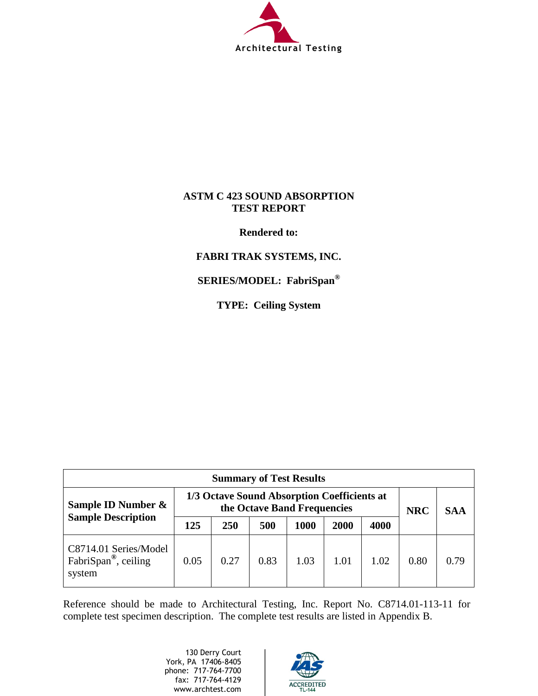

### **ASTM C 423 SOUND ABSORPTION TEST REPORT**

**Rendered to:**

## **FABRI TRAK SYSTEMS, INC.**

**SERIES/MODEL: FabriSpan®**

**TYPE: Ceiling System**

| <b>Summary of Test Results</b>                                      |                                                                            |      |      |      |      |            |            |      |
|---------------------------------------------------------------------|----------------------------------------------------------------------------|------|------|------|------|------------|------------|------|
| Sample ID Number &                                                  | 1/3 Octave Sound Absorption Coefficients at<br>the Octave Band Frequencies |      |      |      |      | <b>NRC</b> | <b>SAA</b> |      |
| <b>Sample Description</b>                                           | 125                                                                        | 250  | 500  | 1000 | 2000 | 4000       |            |      |
| C8714.01 Series/Model<br>FabriSpan <sup>®</sup> , ceiling<br>system | 0.05                                                                       | 0.27 | 0.83 | 1.03 | 1.01 | 1.02       | 0.80       | 0.79 |

Reference should be made to Architectural Testing, Inc. Report No. C8714.01-113-11 for complete test specimen description. The complete test results are listed in Appendix B.

> 130 Derry Court York, PA 17406-8405 phone: 717-764-7700 fax: 717-764-4129 www.archtest.com

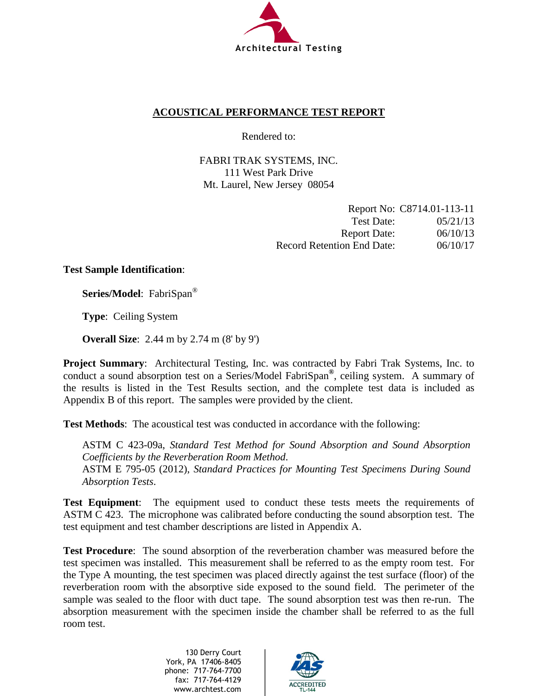

## **ACOUSTICAL PERFORMANCE TEST REPORT**

Rendered to:

FABRI TRAK SYSTEMS, INC. 111 West Park Drive Mt. Laurel, New Jersey 08054

|                                   | Report No: C8714.01-113-11 |
|-----------------------------------|----------------------------|
| Test Date:                        | 05/21/13                   |
| <b>Report Date:</b>               | 06/10/13                   |
| <b>Record Retention End Date:</b> | 06/10/17                   |

### **Test Sample Identification**:

**Series/Model**: FabriSpan®

**Type**: Ceiling System

**Overall Size**: 2.44 m by 2.74 m (8' by 9')

**Project Summary**: Architectural Testing, Inc. was contracted by Fabri Trak Systems, Inc. to conduct a sound absorption test on a Series/Model FabriSpan**®**, ceiling system. A summary of the results is listed in the Test Results section, and the complete test data is included as Appendix B of this report. The samples were provided by the client.

**Test Methods**: The acoustical test was conducted in accordance with the following:

ASTM C 423-09a, *Standard Test Method for Sound Absorption and Sound Absorption Coefficients by the Reverberation Room Method*. ASTM E 795-05 (2012), *Standard Practices for Mounting Test Specimens During Sound Absorption Tests*.

**Test Equipment**: The equipment used to conduct these tests meets the requirements of ASTM C 423. The microphone was calibrated before conducting the sound absorption test. The test equipment and test chamber descriptions are listed in Appendix A.

**Test Procedure**: The sound absorption of the reverberation chamber was measured before the test specimen was installed. This measurement shall be referred to as the empty room test. For the Type A mounting, the test specimen was placed directly against the test surface (floor) of the reverberation room with the absorptive side exposed to the sound field. The perimeter of the sample was sealed to the floor with duct tape. The sound absorption test was then re-run. The absorption measurement with the specimen inside the chamber shall be referred to as the full room test.

> 130 Derry Court York, PA 17406-8405 phone: 717-764-7700 fax: 717-764-4129 www.archtest.com

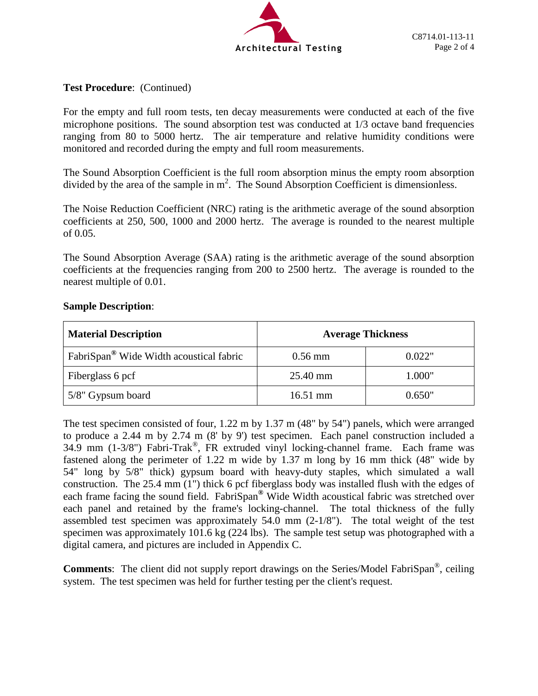

### **Test Procedure**: (Continued)

For the empty and full room tests, ten decay measurements were conducted at each of the five microphone positions. The sound absorption test was conducted at 1/3 octave band frequencies ranging from 80 to 5000 hertz. The air temperature and relative humidity conditions were monitored and recorded during the empty and full room measurements.

The Sound Absorption Coefficient is the full room absorption minus the empty room absorption divided by the area of the sample in  $m^2$ . The Sound Absorption Coefficient is dimensionless.

The Noise Reduction Coefficient (NRC) rating is the arithmetic average of the sound absorption coefficients at 250, 500, 1000 and 2000 hertz. The average is rounded to the nearest multiple of 0.05.

The Sound Absorption Average (SAA) rating is the arithmetic average of the sound absorption coefficients at the frequencies ranging from 200 to 2500 hertz. The average is rounded to the nearest multiple of 0.01.

### **Sample Description**:

| <b>Material Description</b>                         | <b>Average Thickness</b> |        |  |
|-----------------------------------------------------|--------------------------|--------|--|
| FabriSpan <sup>®</sup> Wide Width acoustical fabric | $0.56$ mm                | 0.022" |  |
| Fiberglass 6 pcf                                    | 25.40 mm                 | 1.000" |  |
| 5/8" Gypsum board                                   | $16.51$ mm               | 0.650" |  |

The test specimen consisted of four, 1.22 m by 1.37 m (48" by 54") panels, which were arranged to produce a 2.44 m by 2.74 m (8' by 9') test specimen. Each panel construction included a 34.9 mm (1-3/8") Fabri-Trak®, FR extruded vinyl locking-channel frame. Each frame was fastened along the perimeter of 1.22 m wide by 1.37 m long by 16 mm thick (48" wide by 54" long by 5/8" thick) gypsum board with heavy-duty staples, which simulated a wall construction. The 25.4 mm (1") thick 6 pcf fiberglass body was installed flush with the edges of each frame facing the sound field. FabriSpan**®** Wide Width acoustical fabric was stretched over each panel and retained by the frame's locking-channel. The total thickness of the fully assembled test specimen was approximately 54.0 mm (2-1/8"). The total weight of the test specimen was approximately 101.6 kg (224 lbs). The sample test setup was photographed with a digital camera, and pictures are included in Appendix C.

**Comments**: The client did not supply report drawings on the Series/Model FabriSpan®, ceiling system. The test specimen was held for further testing per the client's request.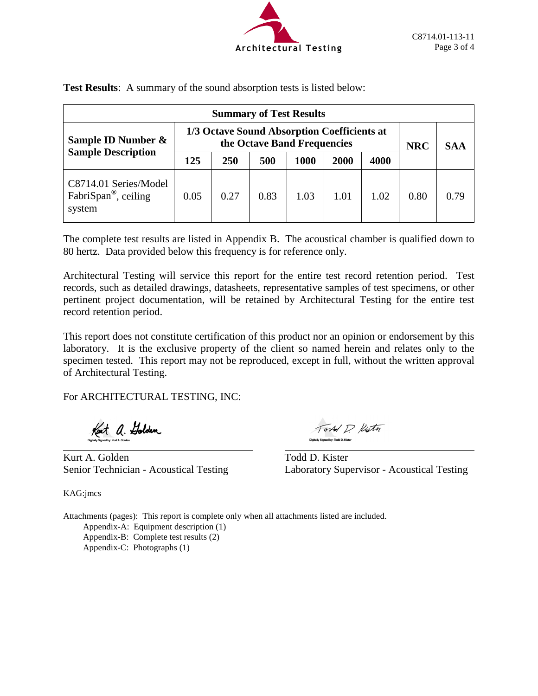

| <b>Summary of Test Results</b>                                      |                                                                            |      |      |      |      |            |            |      |
|---------------------------------------------------------------------|----------------------------------------------------------------------------|------|------|------|------|------------|------------|------|
| Sample ID Number &                                                  | 1/3 Octave Sound Absorption Coefficients at<br>the Octave Band Frequencies |      |      |      |      | <b>NRC</b> | <b>SAA</b> |      |
| <b>Sample Description</b>                                           | 125                                                                        | 250  | 500  | 1000 | 2000 | 4000       |            |      |
| C8714.01 Series/Model<br>FabriSpan <sup>®</sup> , ceiling<br>system | 0.05                                                                       | 0.27 | 0.83 | 1.03 | 1.01 | 1.02       | 0.80       | 0.79 |

**Test Results**: A summary of the sound absorption tests is listed below:

The complete test results are listed in Appendix B. The acoustical chamber is qualified down to 80 hertz. Data provided below this frequency is for reference only.

Architectural Testing will service this report for the entire test record retention period. Test records, such as detailed drawings, datasheets, representative samples of test specimens, or other pertinent project documentation, will be retained by Architectural Testing for the entire test record retention period.

This report does not constitute certification of this product nor an opinion or endorsement by this laboratory. It is the exclusive property of the client so named herein and relates only to the specimen tested. This report may not be reproduced, except in full, without the written approval of Architectural Testing.

For ARCHITECTURAL TESTING, INC:

Kent a. Golden

Kurt A. Golden Todd D. Kister

Tord D. Kisty

Senior Technician - Acoustical Testing Laboratory Supervisor - Acoustical Testing

KAG:jmcs

Attachments (pages): This report is complete only when all attachments listed are included. Appendix-A: Equipment description (1)

Appendix-B: Complete test results (2) Appendix-C: Photographs (1)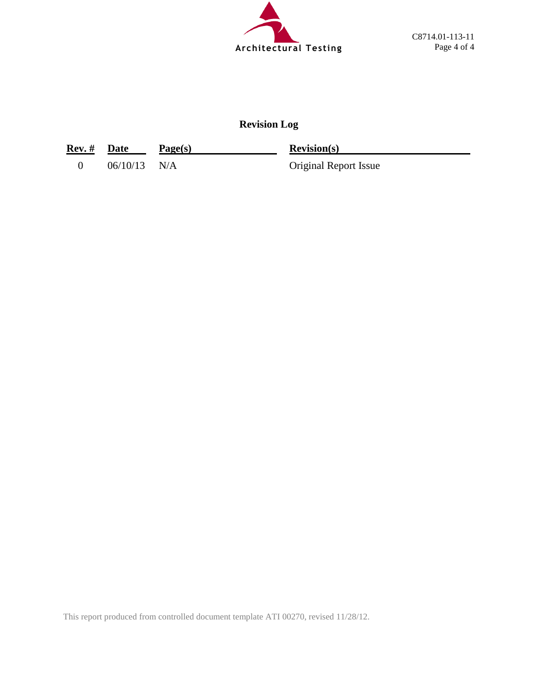

## **Revision Log**

| Rev. # Date |                | Page(s) | <b>Revision(s)</b>           |
|-------------|----------------|---------|------------------------------|
|             | $06/10/13$ N/A |         | <b>Original Report Issue</b> |

This report produced from controlled document template ATI 00270, revised 11/28/12.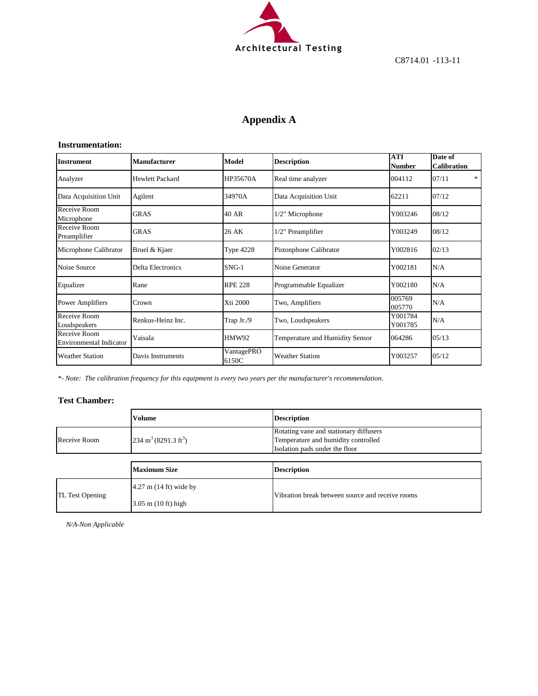

C8714.01 -113-11

## **Appendix A**

#### **Instrumentation:**

| <b>Instrument</b>                       | Manufacturer      | Model               | <b>Description</b>              | <b>ATI</b><br><b>Number</b> | Date of<br><b>Calibration</b> |
|-----------------------------------------|-------------------|---------------------|---------------------------------|-----------------------------|-------------------------------|
| Analyzer                                | Hewlett Packard   | HP35670A            | Real time analyzer              | 004112                      | *<br>07/11                    |
| Data Acquisition Unit                   | Agilent           | 34970A              | Data Acquisition Unit           | 62211                       | 07/12                         |
| Receive Room<br>Microphone              | <b>GRAS</b>       | 40 AR               | 1/2" Microphone                 | Y003246                     | 08/12                         |
| Receive Room<br>Preamplifier            | <b>GRAS</b>       | 26 AK               | 1/2" Preamplifier               | Y003249                     | 08/12                         |
| Microphone Calibrator                   | Bruel & Kjaer     | <b>Type 4228</b>    | Pistonphone Calibrator          | Y002816                     | 02/13                         |
| Noise Source                            | Delta Electronics | $SNG-1$             | Noise Generator                 | Y002181                     | N/A                           |
| Equalizer                               | Rane              | <b>RPE 228</b>      | Programmable Equalizer          | Y002180                     | N/A                           |
| <b>Power Amplifiers</b>                 | Crown             | Xti 2000            | Two, Amplifiers                 | 005769<br>005770            | N/A                           |
| Receive Room<br>Loudspeakers            | Renkus-Heinz Inc. | Trap Jr./9          | Two, Loudspeakers               | Y001784<br>Y001785          | N/A                           |
| Receive Room<br>Environmental Indicator | Vaisala           | <b>HMW92</b>        | Temperature and Humidity Sensor | 064286                      | 05/13                         |
| <b>Weather Station</b>                  | Davis Instruments | VantagePRO<br>6150C | <b>Weather Station</b>          | Y003257                     | 05/12                         |

*\*- Note: The calibration frequency for this equipment is every two years per the manufacturer's recommendation.*

#### **Test Chamber:**

|                                                         | <b>Volume</b>                      | <b>Description</b>                                                                                              |  |  |
|---------------------------------------------------------|------------------------------------|-----------------------------------------------------------------------------------------------------------------|--|--|
| $234 \text{ m}^3 (8291.3 \text{ ft}^3)$<br>Receive Room |                                    | Rotating vane and stationary diffusers<br>Temperature and humidity controlled<br>Isolation pads under the floor |  |  |
|                                                         |                                    |                                                                                                                 |  |  |
|                                                         |                                    |                                                                                                                 |  |  |
|                                                         | <b>Maximum Size</b>                | <b>Description</b>                                                                                              |  |  |
| <b>TL Test Opening</b>                                  | $4.27$ m $(14 \text{ ft})$ wide by | Vibration break between source and receive rooms                                                                |  |  |

*N/A-Non Applicable*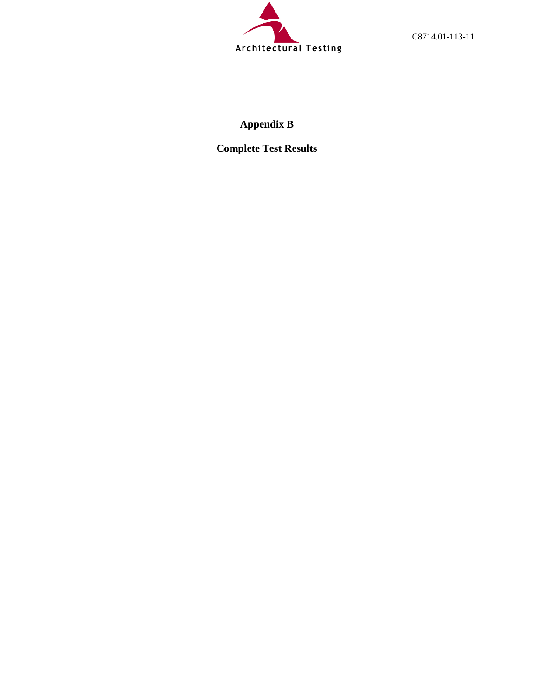

C8714.01-113-11

# **Appendix B**

**Complete Test Results**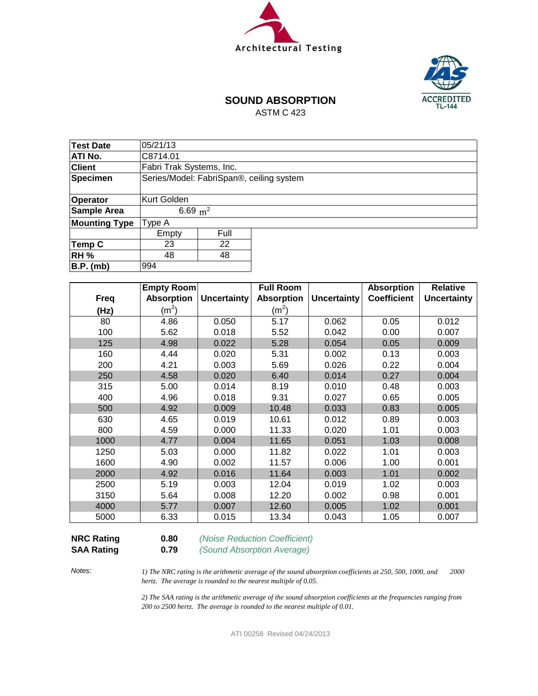



## **SOUND ABSORPTION**

ASTM C 423

| <b>Test Date</b>     | 05/21/13                                 |            |  |  |  |  |  |  |
|----------------------|------------------------------------------|------------|--|--|--|--|--|--|
| <b>ATI No.</b>       | C8714.01                                 |            |  |  |  |  |  |  |
| <b>Client</b>        | Fabri Trak Systems, Inc.                 |            |  |  |  |  |  |  |
| Specimen             | Series/Model: FabriSpan®, ceiling system |            |  |  |  |  |  |  |
|                      |                                          |            |  |  |  |  |  |  |
| Operator             | <b>Kurt Golden</b>                       |            |  |  |  |  |  |  |
| Sample Area          |                                          | 6.69 $m^2$ |  |  |  |  |  |  |
| <b>Mounting Type</b> | Type A                                   |            |  |  |  |  |  |  |
|                      | Empty                                    | Full       |  |  |  |  |  |  |
| Temp C               | 23                                       | 22         |  |  |  |  |  |  |
| <b>RH %</b>          | 48                                       | 48         |  |  |  |  |  |  |
| B.P. (mb)            | 994                                      |            |  |  |  |  |  |  |

|             | Empty Room        |                    | <b>Full Room</b>  |                    | <b>Absorption</b>  | <b>Relative</b>    |
|-------------|-------------------|--------------------|-------------------|--------------------|--------------------|--------------------|
| <b>Freq</b> | <b>Absorption</b> | <b>Uncertainty</b> | <b>Absorption</b> | <b>Uncertainty</b> | <b>Coefficient</b> | <b>Uncertainty</b> |
| (Hz)        | (m <sup>2</sup> ) |                    | $(m^2)$           |                    |                    |                    |
| 80          | 4.86              | 0.050              | 5.17              | 0.062              | 0.05               | 0.012              |
| 100         | 5.62              | 0.018              | 5.52              | 0.042              | 0.00               | 0.007              |
| 125         | 4.98              | 0.022              | 5.28              | 0.054              | 0.05               | 0.009              |
| 160         | 4.44              | 0.020              | 5.31              | 0.002              | 0.13               | 0.003              |
| 200         | 4.21              | 0.003              | 5.69              | 0.026              | 0.22               | 0.004              |
| 250         | 4.58              | 0.020              | 6.40              | 0.014              | 0.27               | 0.004              |
| 315         | 5.00              | 0.014              | 8.19              | 0.010              | 0.48               | 0.003              |
| 400         | 4.96              | 0.018              | 9.31              | 0.027              | 0.65               | 0.005              |
| 500         | 4.92              | 0.009              | 10.48             | 0.033              | 0.83               | 0.005              |
| 630         | 4.65              | 0.019              | 10.61             | 0.012              | 0.89               | 0.003              |
| 800         | 4.59              | 0.000              | 11.33             | 0.020              | 1.01               | 0.003              |
| 1000        | 4.77              | 0.004              | 11.65             | 0.051              | 1.03               | 0.008              |
| 1250        | 5.03              | 0.000              | 11.82             | 0.022              | 1.01               | 0.003              |
| 1600        | 4.90              | 0.002              | 11.57             | 0.006              | 1.00               | 0.001              |
| 2000        | 4.92              | 0.016              | 11.64             | 0.003              | 1.01               | 0.002              |
| 2500        | 5.19              | 0.003              | 12.04             | 0.019              | 1.02               | 0.003              |
| 3150        | 5.64              | 0.008              | 12.20             | 0.002              | 0.98               | 0.001              |
| 4000        | 5.77              | 0.007              | 12.60             | 0.005              | 1.02               | 0.001              |
| 5000        | 6.33              | 0.015              | 13.34             | 0.043              | 1.05               | 0.007              |

**SAA Rating 0.79** *(Sound Absorption Average)*

**NRC Rating 0.80** *(Noise Reduction Coefficient)*

*Notes:*

*1) The NRC rating is the arithmetic average of the sound absorption coefficients at 250, 500, 1000, and 2000 hertz. The average is rounded to the nearest multiple of 0.05.*

*2) The SAA rating is the arithmetic average of the sound absorption coefficients at the frequencies ranging from 200 to 2500 hertz. The average is rounded to the nearest multiple of 0.01.*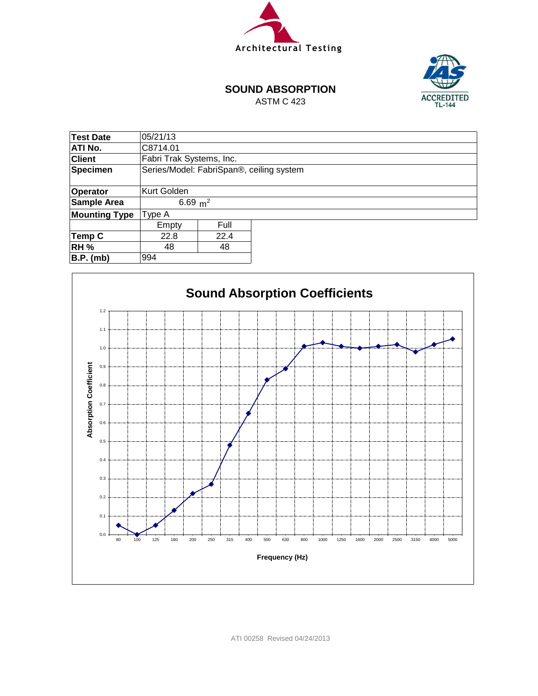



### **SOUND ABSORPTION**

ASTM C 423

| <b>Test Date</b>     | 05/21/13                                 |            |  |  |  |  |  |  |
|----------------------|------------------------------------------|------------|--|--|--|--|--|--|
| ATI No.              | C8714.01                                 |            |  |  |  |  |  |  |
| <b>Client</b>        | Fabri Trak Systems, Inc.                 |            |  |  |  |  |  |  |
| <b>Specimen</b>      | Series/Model: FabriSpan®, ceiling system |            |  |  |  |  |  |  |
|                      |                                          |            |  |  |  |  |  |  |
| Operator             | Kurt Golden                              |            |  |  |  |  |  |  |
| <b>Sample Area</b>   |                                          | 6.69 $m^2$ |  |  |  |  |  |  |
| <b>Mounting Type</b> | Type A                                   |            |  |  |  |  |  |  |
|                      | Empty                                    | Full       |  |  |  |  |  |  |
| Temp C               | 22.8                                     | 22.4       |  |  |  |  |  |  |
| <b>RH %</b>          | 48<br>48                                 |            |  |  |  |  |  |  |
| <b>B.P.</b> (mb)     | 994                                      |            |  |  |  |  |  |  |